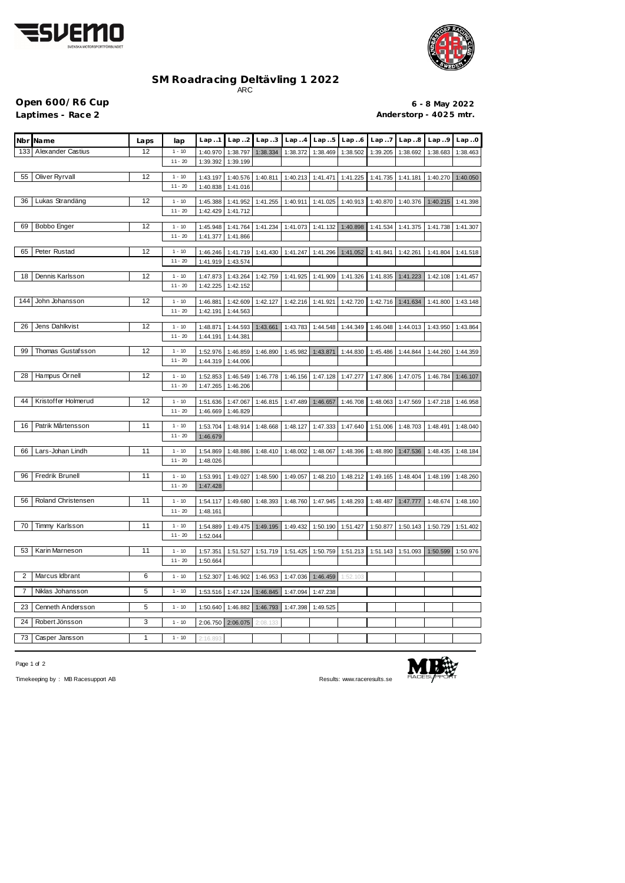



## **SM Roadracing Deltävling 1 2022** ARC

**Open 600/R6 Cup 6 - 8 May 2022** 

Laptimes - Race 2 **Anderstorp - 4025 mtr.** 

|     | Nbr Name                 | Laps         | lap                   | Lap.1                | Lap. .2              | Lap.3    | Lap.4    | Lap.5    | Lap.6    | Lap. .7  | Lap.8    | Lap.9    | Lap.0    |
|-----|--------------------------|--------------|-----------------------|----------------------|----------------------|----------|----------|----------|----------|----------|----------|----------|----------|
| 133 | <b>Alexander Castius</b> | 12           | $1 - 10$              | 1:40.970             | 1:38.797             | 1:38.334 | 1:38.372 | 1:38.469 | 1:38.502 | 1:39.205 | 1:38.692 | 1:38.683 | 1:38.463 |
|     |                          |              | $11 - 20$             | 1:39.392             | 1:39.199             |          |          |          |          |          |          |          |          |
| 55  | Oliver Ryrvall           | 12           | $1 - 10$              | 1:43.197             | 1:40.576             | 1:40.811 | 1:40.213 | 1:41.471 | 1:41.225 | 1:41.735 | 1:41.181 | 1:40.270 | 1:40.050 |
|     |                          |              | $11 - 20$             | 1:40.838             | 1:41.016             |          |          |          |          |          |          |          |          |
|     |                          |              |                       |                      |                      |          |          |          |          |          |          |          |          |
| 36  | Lukas Strandäng          | 12           | $1 - 10$<br>$11 - 20$ | 1:45.388             | 1:41.952             | 1:41.255 | 1:40.911 | 1:41.025 | 1:40.913 | 1:40.870 | 1:40.376 | 1:40.215 | 1:41.398 |
|     |                          |              |                       | 1:42.429             | 1:41.712             |          |          |          |          |          |          |          |          |
| 69  | Bobbo Enger              | 12           | $1 - 10$              | 1:45.948             | 1:41.764             | 1:41.234 | 1:41.073 | 1:41.132 | 1:40.898 | 1:41.534 | 1:41.375 | 1:41.738 | 1:41.307 |
|     |                          |              | $11 - 20$             | 1:41.377             | 1:41.866             |          |          |          |          |          |          |          |          |
| 65  | Peter Rustad             | 12           | $1 - 10$              | 1:46.246             | 1:41.719             | 1:41.430 | 1:41.247 | 1:41.296 | 1:41.052 | 1:41.841 | 1:42.261 | 1:41.804 | 1:41.518 |
|     |                          |              | $11 - 20$             | 1:41.919             | 1:43.574             |          |          |          |          |          |          |          |          |
| 18  | Dennis Karlsson          | 12           |                       |                      |                      |          |          |          |          |          |          |          |          |
|     |                          |              | $1 - 10$<br>$11 - 20$ | 1:47.873<br>1:42.225 | 1:43.264<br>1:42.152 | 1:42.759 | 1:41.925 | 1:41.909 | 1:41.326 | 1:41.835 | 1:41.223 | 1:42.108 | 1:41.457 |
|     |                          |              |                       |                      |                      |          |          |          |          |          |          |          |          |
| 144 | John Johansson           | 12           | $1 - 10$              | 1:46.881             | 1:42.609             | 1:42.127 | 1:42.216 | 1:41.921 | 1:42.720 | 1:42.716 | 1:41.634 | 1:41.800 | 1:43.148 |
|     |                          |              | $11 - 20$             | 1:42.191             | 1:44.563             |          |          |          |          |          |          |          |          |
| 26  | Jens Dahlkvist           | 12           | $1 - 10$              | 1:48.871             | 1:44.593             | 1:43.661 | 1:43.783 | 1:44.548 | 1:44.349 | 1:46.048 | 1:44.013 | 1:43.950 | 1:43.864 |
|     |                          |              | $11 - 20$             | 1:44.191             | 1:44.381             |          |          |          |          |          |          |          |          |
| 99  | Thomas Gustafsson        | 12           | $1 - 10$              | 1:52.976             | 1:46.859             | 1:46.890 | 1:45.982 | 1:43.871 | 1:44.830 | 1:45.486 | 1:44.844 | 1:44.260 | 1:44.359 |
|     |                          |              | $11 - 20$             | 1:44.319             | 1:44.006             |          |          |          |          |          |          |          |          |
|     |                          |              |                       |                      |                      |          |          |          |          |          |          |          |          |
| 28  | Hampus Örnell            | 12           | $1 - 10$              | 1:52.853             | 1:46.549             | 1:46.778 | 1:46.156 | 1:47.128 | 1:47.277 | 1:47.806 | 1:47.075 | 1:46.784 | 1:46.107 |
|     |                          |              | $11 - 20$             | 1:47.265             | 1:46.206             |          |          |          |          |          |          |          |          |
| 44  | Kristoffer Holmerud      | 12           | $1 - 10$              | 1:51.636             | 1:47.067             | 1:46.815 | 1:47.489 | 1:46.657 | 1:46.708 | 1:48.063 | 1:47.569 | 1:47.218 | 1:46.958 |
|     |                          |              | $11 - 20$             | 1:46.669             | 1:46.829             |          |          |          |          |          |          |          |          |
| 16  | Patrik Mårtensson        | 11           | $1 - 10$              | 1:53.704             | 1:48.914             | 1:48.668 | 1:48.127 | 1:47.333 | 1:47.640 | 1:51.006 | 1:48.703 | 1:48.491 | 1:48.040 |
|     |                          |              | $11 - 20$             | 1:46.679             |                      |          |          |          |          |          |          |          |          |
|     | Lars-Johan Lindh         |              |                       |                      |                      |          |          |          |          |          |          |          |          |
| 66  |                          | 11           | $1 - 10$<br>$11 - 20$ | 1:54.869<br>1:48.026 | 1:48.886             | 1:48.410 | 1:48.002 | 1:48.067 | 1:48.396 | 1:48.890 | 1:47.536 | 1:48.435 | 1:48.184 |
|     |                          |              |                       |                      |                      |          |          |          |          |          |          |          |          |
| 96  | Fredrik Brunell          | 11           | $1 - 10$              | 1:53.991             | 1:49.027             | 1:48.590 | 1:49.057 | 1:48.210 | 1:48.212 | 1:49.165 | 1:48.404 | 1:48.199 | 1:48.260 |
|     |                          |              | $11 - 20$             | 1:47.428             |                      |          |          |          |          |          |          |          |          |
| 56  | Roland Christensen       | 11           | $1 - 10$              | 1:54.117             | 1:49.680             | 1:48.393 | 1:48.760 | 1:47.945 | 1:48.293 | 1:48.487 | 1:47.777 | 1:48.674 | 1:48.160 |
|     |                          |              | $11 - 20$             | 1:48.161             |                      |          |          |          |          |          |          |          |          |
| 70  | Timmy Karlsson           | 11           | $1 - 10$              | 1:54.889             | 1:49.475             | 1:49.195 | 1:49.432 | 1:50.190 | 1:51.427 | 1:50.877 | 1:50.143 | 1:50.729 | 1:51.402 |
|     |                          |              | $11 - 20$             | 1:52.044             |                      |          |          |          |          |          |          |          |          |
|     |                          |              |                       |                      |                      |          |          |          |          |          |          |          |          |
| 53  | Karin Marneson           | 11           | $1 - 10$              | 1:57.351             | 1:51.527             | 1:51.719 | 1:51.425 | 1:50.759 | 1:51.213 | 1:51.143 | 1:51.093 | 1:50.599 | 1:50.976 |
|     |                          |              | $11 - 20$             | 1:50.664             |                      |          |          |          |          |          |          |          |          |
| 2   | Marcus Idbrant           | 6            | $1 - 10$              | 1:52.307             | 1:46.902             | 1:46.953 | 1:47.036 | 1:46.459 | 1:52.103 |          |          |          |          |
| 7   | Niklas Johansson         | 5            | $1 - 10$              | 1:53.516             | 1:47.124             | 1:46.845 | 1:47.094 | 1:47.238 |          |          |          |          |          |
|     |                          |              |                       |                      |                      |          |          |          |          |          |          |          |          |
| 23  | Cenneth Andersson        | 5            | $1 - 10$              | 1:50.640             | 1:46.882             | 1:46.793 | 1:47.398 | 1:49.525 |          |          |          |          |          |
| 24  | Robert Jönsson           | 3            | $1 - 10$              | 2:06.750             | 2:06.075             | 2:08.133 |          |          |          |          |          |          |          |
|     |                          |              |                       |                      |                      |          |          |          |          |          |          |          |          |
| 73  | Casper Jansson           | $\mathbf{1}$ | $1 - 10$              | 2:16.893             |                      |          |          |          |          |          |          |          |          |

Page 1 of 2



Timekeeping by : MB Racesupport AB Results: <www.raceresults.se>